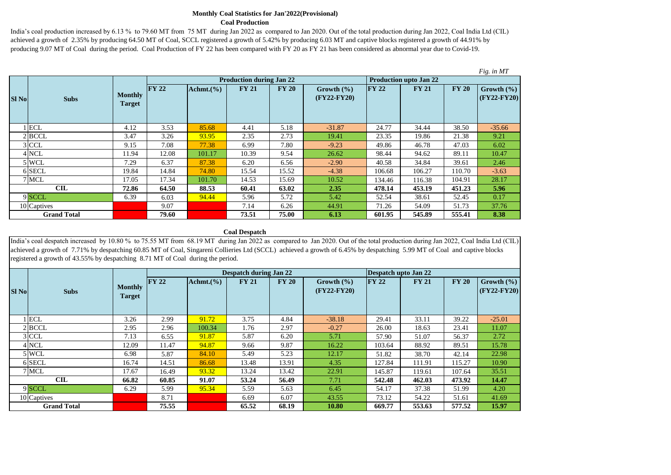#### **Monthly Coal Statistics for Jan'2022(Provisional) Coal Production**

India's coal production increased by 6.13 % to 79.60 MT from 75 MT during Jan 2022 as compared to Jan 2020. Out of the total production during Jan 2022, Coal India Ltd (CIL) achieved a growth of 2.35% by producing 64.50 MT of Coal, SCCL registered a growth of 5.42% by producing 6.03 MT and captive blocks registered a growth of 44.91% by producing 9.07 MT of Coal during the period. Coal Production of FY 22 has been compared with FY 20 as FY 21 has been considered as abnormal year due to Covid-19.

|              |                    |                                 |              |                |                                 |              |                                 |               |                               |              | Fig. in MT                    |
|--------------|--------------------|---------------------------------|--------------|----------------|---------------------------------|--------------|---------------------------------|---------------|-------------------------------|--------------|-------------------------------|
|              |                    |                                 |              |                | <b>Production during Jan 22</b> |              |                                 |               | <b>Production upto Jan 22</b> |              |                               |
| <b>SI No</b> | <b>Subs</b>        | <b>Monthly</b><br><b>Target</b> | <b>FY 22</b> | Achmt. $(\% )$ | <b>FY 21</b>                    | <b>FY 20</b> | Growth $(\% )$<br>$(FY22-FY20)$ | $\Gamma Y 22$ | <b>FY 21</b>                  | <b>FY 20</b> | Growth $(\% )$<br>(FY22-FY20) |
|              | $1$ ECL            | 4.12                            | 3.53         | 85.68          | 4.41                            | 5.18         | $-31.87$                        | 24.77         | 34.44                         | 38.50        | $-35.66$                      |
|              | $2$ BCCL           | 3.47                            | 3.26         | 93.95          | 2.35                            | 2.73         | 19.41                           | 23.35         | 19.86                         | 21.38        | 9.21                          |
|              | $3$ CCL            | 9.15                            | 7.08         | 77.38          | 6.99                            | 7.80         | $-9.23$                         | 49.86         | 46.78                         | 47.03        | 6.02                          |
|              | 4 NCL              | 11.94                           | 12.08        | 101.17         | 10.39                           | 9.54         | 26.62                           | 98.44         | 94.62                         | 89.11        | 10.47                         |
|              | 5 WCL              | 7.29                            | 6.37         | 87.38          | 6.20                            | 6.56         | $-2.90$                         | 40.58         | 34.84                         | 39.61        | 2.46                          |
|              | 6 SECL             | 19.84                           | 14.84        | 74.80          | 15.54                           | 15.52        | $-4.38$                         | 106.68        | 106.27                        | 110.70       | $-3.63$                       |
|              | 7 MCL              | 17.05                           | 17.34        | 101.70         | 14.53                           | 15.69        | 10.52                           | 134.46        | 116.38                        | 104.91       | 28.17                         |
|              | <b>CIL</b>         | 72.86                           | 64.50        | 88.53          | 60.41                           | 63.02        | 2.35                            | 478.14        | 453.19                        | 451.23       | 5.96                          |
|              | 9 SCCL             | 6.39                            | 6.03         | 94.44          | 5.96                            | 5.72         | 5.42                            | 52.54         | 38.61                         | 52.45        | 0.17                          |
|              | 10 Captives        |                                 | 9.07         |                | 7.14                            | 6.26         | 44.91                           | 71.26         | 54.09                         | 51.73        | 37.76                         |
|              | <b>Grand Total</b> |                                 | 79.60        |                | 73.51                           | 75.00        | 6.13                            | 601.95        | 545.89                        | 555.41       | 8.38                          |

#### **Coal Despatch**

India's coal despatch increased by 10.80 % to 75.55 MT from 68.19 MT during Jan 2022 as compared to Jan 2020. Out of the total production during Jan 2022, Coal India Ltd (CIL) achieved a growth of 7.71% by despatching 60.85 MT of Coal, Singareni Collieries Ltd (SCCL) achieved a growth of 6.45% by despatching 5.99 MT of Coal and captive blocks registered a growth of 43.55% by despatching 8.71 MT of Coal during the period.

|              |                    |                                 |       |                | <b>Despatch during Jan 22</b> |              |                                 | Despatch upto Jan 22 |              |              |                                |
|--------------|--------------------|---------------------------------|-------|----------------|-------------------------------|--------------|---------------------------------|----------------------|--------------|--------------|--------------------------------|
| <b>SI No</b> | <b>Subs</b>        | <b>Monthly</b><br><b>Target</b> | FY 22 | Achmt. $(\% )$ | <b>FY 21</b>                  | <b>FY 20</b> | Growth $(\% )$<br>$(FY22-FY20)$ | <b>FY 22</b>         | <b>FY 21</b> | <b>FY 20</b> | Growth $(\% )$<br>$CFY22-FY20$ |
|              | <b>ECL</b>         | 3.26                            | 2.99  | 91.72          | 3.75                          | 4.84         | $-38.18$                        | 29.41                | 33.11        | 39.22        | $-25.01$                       |
|              | 2 BCCL             | 2.95                            | 2.96  | 100.34         | 1.76                          | 2.97         | $-0.27$                         | 26.00                | 18.63        | 23.41        | 11.07                          |
|              | 3 CCL              | 7.13                            | 6.55  | 91.87          | 5.87                          | 6.20         | 5.71                            | 57.90                | 51.07        | 56.37        | 2.72                           |
|              | 4 NCL              | 12.09                           | 11.47 | 94.87          | 9.66                          | 9.87         | 16.22                           | 103.64               | 88.92        | 89.51        | 15.78                          |
|              | 5 WCL              | 6.98                            | 5.87  | 84.10          | 5.49                          | 5.23         | 12.17                           | 51.82                | 38.70        | 42.14        | 22.98                          |
|              | 6 SECL             | 16.74                           | 14.51 | 86.68          | 13.48                         | 13.91        | 4.35                            | 127.84               | 111.91       | 115.27       | 10.90                          |
|              | 7 MCL              | 17.67                           | 16.49 | 93.32          | 13.24                         | 13.42        | 22.91                           | 145.87               | 119.61       | 107.64       | 35.51                          |
|              | CLL                | 66.82                           | 60.85 | 91.07          | 53.24                         | 56.49        | 7.71                            | 542.48               | 462.03       | 473.92       | 14.47                          |
|              | 9 SCCL             | 6.29                            | 5.99  | 95.34          | 5.59                          | 5.63         | 6.45                            | 54.17                | 37.38        | 51.99        | 4.20                           |
|              | 10 Captives        |                                 | 8.71  |                | 6.69                          | 6.07         | 43.55                           | 73.12                | 54.22        | 51.61        | 41.69                          |
|              | <b>Grand Total</b> |                                 | 75.55 |                | 65.52                         | 68.19        | 10.80                           | 669.77               | 553.63       | 577.52       | 15.97                          |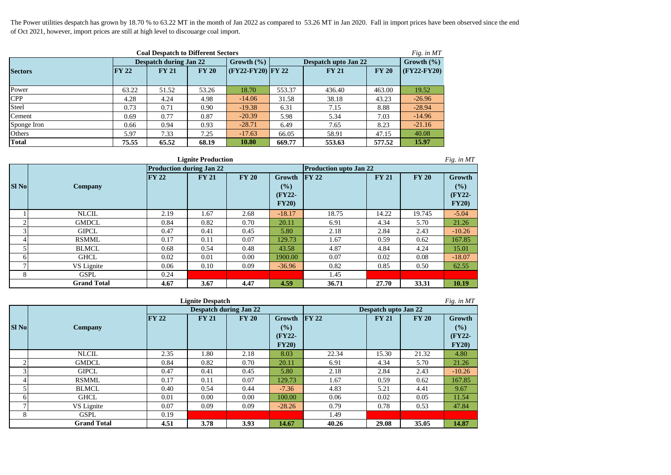The Power utilities despatch has grown by 18.70 % to 63.22 MT in the month of Jan 2022 as compared to 53.26 MT in Jan 2020. Fall in import prices have been observed since the end of Oct 2021, however, import prices are still at high level to discouarge coal import.

| <b>Coal Despatch to Different Sectors</b><br>Fig. in $MT$ |              |                               |              |                       |                      |                |              |               |  |  |  |  |
|-----------------------------------------------------------|--------------|-------------------------------|--------------|-----------------------|----------------------|----------------|--------------|---------------|--|--|--|--|
|                                                           |              | <b>Despatch during Jan 22</b> |              | Growth $(\% )$        | Despatch upto Jan 22 | Growth $(\% )$ |              |               |  |  |  |  |
| <b>Sectors</b>                                            | <b>FY 22</b> | <b>FY 21</b>                  | <b>FY 20</b> | $ $ (FY22-FY20) FY 22 |                      | <b>FY 21</b>   | <b>FY 20</b> | $(FY22-FY20)$ |  |  |  |  |
|                                                           |              |                               |              |                       |                      |                |              |               |  |  |  |  |
| Power                                                     | 63.22        | 51.52                         | 53.26        | 18.70                 | 553.37               | 436.40         | 463.00       | 19.52         |  |  |  |  |
| <b>CPP</b>                                                | 4.28         | 4.24                          | 4.98         | $-14.06$              | 31.58                | 38.18          | 43.23        | $-26.96$      |  |  |  |  |
| Steel                                                     | 0.73         | 0.71                          | 0.90         | $-19.38$              | 6.31                 | 7.15           | 8.88         | $-28.94$      |  |  |  |  |
| Cement                                                    | 0.69         | 0.77                          | 0.87         | $-20.39$              | 5.98                 | 5.34           | 7.03         | $-14.96$      |  |  |  |  |
| Sponge Iron                                               | 0.66         | 0.94                          | 0.93         | $-28.71$              | 6.49                 | 7.65           | 8.23         | $-21.16$      |  |  |  |  |
| Others                                                    | 5.97         | 7.33                          | 7.25         | $-17.63$              | 66.05                | 58.91          | 47.15        | 40.08         |  |  |  |  |
| <b>Total</b>                                              | 75.55        | 65.52                         | 68.19        | 10.80                 | 669.77               | 553.63         | 577.52       | 15.97         |  |  |  |  |

|               | <b>Lignite Production</b><br>Fig. in MT |                                 |              |              |                                  |                               |              |              |                                  |  |  |  |  |
|---------------|-----------------------------------------|---------------------------------|--------------|--------------|----------------------------------|-------------------------------|--------------|--------------|----------------------------------|--|--|--|--|
|               |                                         | <b>Production during Jan 22</b> |              |              |                                  | <b>Production upto Jan 22</b> |              |              |                                  |  |  |  |  |
| <b>SI No</b>  | Company                                 | <b>FY 22</b>                    | <b>FY 21</b> | <b>FY 20</b> | Growth<br>(%)<br>(FY22-<br>FY20) | $\Gamma Y$ 22                 | <b>FY 21</b> | <b>FY 20</b> | Growth<br>(%)<br>(FY22-<br>FY20) |  |  |  |  |
|               | <b>NLCIL</b>                            | 2.19                            | 1.67         | 2.68         | $-18.17$                         | 18.75                         | 14.22        | 19.745       | $-5.04$                          |  |  |  |  |
| ◠             | <b>GMDCL</b>                            | 0.84                            | 0.82         | 0.70         | 20.11                            | 6.91                          | 4.34         | 5.70         | 21.26                            |  |  |  |  |
| 3             | <b>GIPCL</b>                            | 0.47                            | 0.41         | 0.45         | 5.80                             | 2.18                          | 2.84         | 2.43         | $-10.26$                         |  |  |  |  |
| 4             | <b>RSMML</b>                            | 0.17                            | 0.11         | 0.07         | 129.73                           | 1.67                          | 0.59         | 0.62         | 167.85                           |  |  |  |  |
| 5             | <b>BLMCL</b>                            | 0.68                            | 0.54         | 0.48         | 43.58                            | 4.87                          | 4.84         | 4.24         | 15.01                            |  |  |  |  |
| 6             | <b>GHCL</b>                             | 0.02                            | 0.01         | 0.00         | 1900.00                          | 0.07                          | 0.02         | 0.08         | $-18.07$                         |  |  |  |  |
| $\mathcal{L}$ | VS Lignite                              | 0.06                            | 0.10         | 0.09         | $-36.96$                         | 0.82                          | 0.85         | 0.50         | 62.55                            |  |  |  |  |
| 8             | <b>GSPL</b>                             | 0.24                            |              |              |                                  | 1.45                          |              |              |                                  |  |  |  |  |
|               | <b>Grand Total</b>                      | 4.67                            | 3.67         | 4.47         | 4.59                             | 36.71                         | 27.70        | 33.31        | 10.19                            |  |  |  |  |

|                | Fig. in MT<br><b>Lignite Despatch</b> |       |              |                               |          |                |                             |              |          |  |  |  |  |  |
|----------------|---------------------------------------|-------|--------------|-------------------------------|----------|----------------|-----------------------------|--------------|----------|--|--|--|--|--|
|                |                                       |       |              | <b>Despatch during Jan 22</b> |          |                | <b>Despatch upto Jan 22</b> |              |          |  |  |  |  |  |
|                |                                       | FY 22 | <b>FY 21</b> | <b>FY 20</b>                  | Growth   | $\Gamma$ FY 22 | <b>FY 21</b>                | <b>FY 20</b> | Growth   |  |  |  |  |  |
| <b>SI No</b>   | Company                               |       |              |                               | (%)      |                |                             |              | (%)      |  |  |  |  |  |
|                |                                       |       |              |                               | $(FY22-$ |                |                             |              | (FY22-   |  |  |  |  |  |
|                |                                       |       |              |                               | FY20)    |                |                             |              | FY20)    |  |  |  |  |  |
|                | <b>NLCIL</b>                          | 2.35  | 1.80         | 2.18                          | 8.03     | 22.34          | 15.30                       | 21.32        | 4.80     |  |  |  |  |  |
| $\overline{2}$ | <b>GMDCL</b>                          | 0.84  | 0.82         | 0.70                          | 20.11    | 6.91           | 4.34                        | 5.70         | 21.26    |  |  |  |  |  |
| 3              | <b>GIPCL</b>                          | 0.47  | 0.41         | 0.45                          | 5.80     | 2.18           | 2.84                        | 2.43         | $-10.26$ |  |  |  |  |  |
| 4              | <b>RSMML</b>                          | 0.17  | 0.11         | 0.07                          | 129.73   | 1.67           | 0.59                        | 0.62         | 167.85   |  |  |  |  |  |
|                | <b>BLMCL</b>                          | 0.40  | 0.54         | 0.44                          | $-7.36$  | 4.83           | 5.21                        | 4.41         | 9.67     |  |  |  |  |  |
| 6              | <b>GHCL</b>                           | 0.01  | 0.00         | 0.00                          | 100.00   | 0.06           | 0.02                        | 0.05         | 11.54    |  |  |  |  |  |
| Ξ              | VS Lignite                            | 0.07  | 0.09         | 0.09                          | $-28.26$ | 0.79           | 0.78                        | 0.53         | 47.84    |  |  |  |  |  |
| 8              | <b>GSPL</b>                           | 0.19  |              |                               |          | 1.49           |                             |              |          |  |  |  |  |  |
|                | <b>Grand Total</b>                    | 4.51  | 3.78         | 3.93                          | 14.67    | 40.26          | 29.08                       | 35.05        | 14.87    |  |  |  |  |  |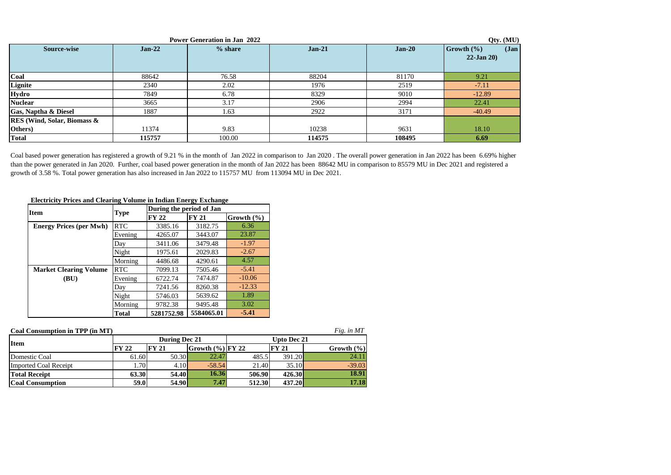|                                    |          | <b>Power Generation in Jan 2022</b> |          |          | Qty. (MU)         |
|------------------------------------|----------|-------------------------------------|----------|----------|-------------------|
| Source-wise                        | $Jan-22$ | % share                             | $Jan-21$ | $Jan-20$ | Jan<br>Growth (%) |
|                                    |          |                                     |          |          | $22$ -Jan $20$ )  |
|                                    |          |                                     |          |          |                   |
| Coal                               | 88642    | 76.58                               | 88204    | 81170    | 9.21              |
| Lignite                            | 2340     | 2.02                                | 1976     | 2519     | $-7.11$           |
| Hydro                              | 7849     | 6.78                                | 8329     | 9010     | $-12.89$          |
| <b>Nuclear</b>                     | 3665     | 3.17                                | 2906     | 2994     | 22.41             |
| Gas, Naptha & Diesel               | 1887     | 1.63                                | 2922     | 3171     | $-40.49$          |
| <b>RES</b> (Wind, Solar, Biomass & |          |                                     |          |          |                   |
| Others)                            | 11374    | 9.83                                | 10238    | 9631     | 18.10             |
| <b>Total</b>                       | 115757   | 100.00                              | 114575   | 108495   | 6.69              |

Coal based power generation has registered a growth of 9.21 % in the month of Jan 2022 in comparison to Jan 2020. The overall power generation in Jan 2022 has been 6.69% higher than the power generated in Jan 2020. Further, coal based power generation in the month of Jan 2022 has been 88642 MU in comparison to 85579 MU in Dec 2021 and registered a growth of 3.58 %. Total power generation has also increased in Jan 2022 to 115757 MU from 113094 MU in Dec 2021.

# **Electricity Prices and Clearing Volume in Indian Energy Exchange**

| <b>Item</b>                    |              | During the period of Jan |              |                |
|--------------------------------|--------------|--------------------------|--------------|----------------|
|                                | <b>Type</b>  | <b>FY 22</b>             | <b>FY 21</b> | Growth $(\% )$ |
| <b>Energy Prices (per Mwh)</b> | <b>RTC</b>   | 3385.16                  | 3182.75      | 6.36           |
|                                | Evening      | 4265.07                  | 3443.07      | 23.87          |
|                                | Day          | 3411.06                  | 3479.48      | $-1.97$        |
|                                | Night        | 1975.61                  | 2029.83      | $-2.67$        |
|                                | Morning      | 4486.68                  | 4290.61      | 4.57           |
| <b>Market Clearing Volume</b>  | <b>RTC</b>   | 7099.13                  | 7505.46      | $-5.41$        |
| (BU)                           | Evening      | 6722.74                  | 7474.87      | $-10.06$       |
|                                | Day          | 7241.56                  | 8260.38      | $-12.33$       |
|                                | Night        | 5746.03                  | 5639.62      | 1.89           |
|                                | Morning      | 9782.38                  | 9495.48      | 3.02           |
|                                | <b>Total</b> | 5281752.98               | 5584065.01   | $-5.41$        |

| Coal Consumption in TPP (in MT)<br>Fig. in MT |                   |                    |                     |        |              |                |  |  |  |
|-----------------------------------------------|-------------------|--------------------|---------------------|--------|--------------|----------------|--|--|--|
| <b>Item</b>                                   |                   | <b>Upto Dec 21</b> |                     |        |              |                |  |  |  |
|                                               | <b>FY 22</b>      | <b>FY 21</b>       | Growth $(\%)$ FY 22 |        | <b>FY 21</b> | Growth $(\% )$ |  |  |  |
| Domestic Coal                                 | 61.60             | 50.30              | 22.47               | 485.5  | 391.20       | 24.11          |  |  |  |
| <b>Imported Coal Receipt</b>                  | 1.70 <sup>1</sup> | 4.10               | $-58.54$            | 21.40  | 35.10        | $-39.03$       |  |  |  |
| <b>Total Receipt</b>                          | 63.30             | 54.40              | 16.36               | 506.90 | 426.30       | 18.91          |  |  |  |
| <b>Coal Consumption</b>                       | 59.0              | <b>54.90</b>       | 7.47                | 512.30 | 437.20       | 17.18          |  |  |  |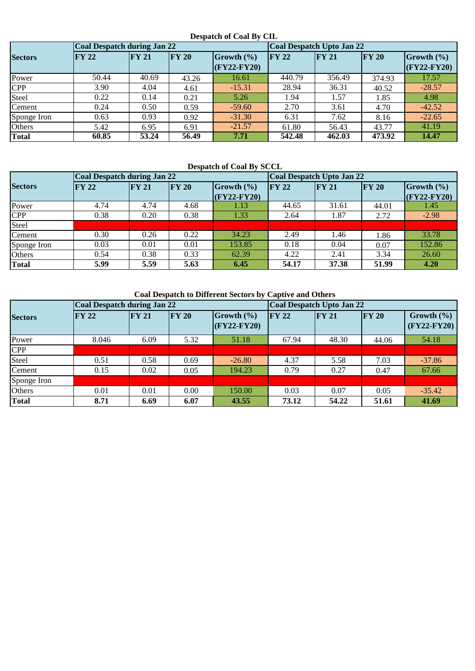### **Despatch of Coal By CIL**

|                | Coal Despatch during Jan 22 |              |              |               | <b>Coal Despatch Upto Jan 22</b> |        |              |                |  |
|----------------|-----------------------------|--------------|--------------|---------------|----------------------------------|--------|--------------|----------------|--|
| <b>Sectors</b> | $\bf{FY}$ 22                | <b>FY 21</b> | $\bf{FY}$ 20 | Growth (%)    | $\Gamma Y 22$                    | FY 21  | $\bf{FY}$ 20 | Growth $(\% )$ |  |
|                |                             |              |              | $(FY22-FY20)$ |                                  |        |              | $CFY22-FY20$   |  |
| Power          | 50.44                       | 40.69        | 43.26        | 16.61         | 440.79                           | 356.49 | 374.93       | 17.57          |  |
| <b>CPP</b>     | 3.90                        | 4.04         | 4.61         | $-15.31$      | 28.94                            | 36.31  | 40.52        | $-28.57$       |  |
| Steel          | 0.22                        | 0.14         | 0.21         | 5.26          | 1.94                             | 1.57   | 1.85         | 4.98           |  |
| Cement         | 0.24                        | 0.50         | 0.59         | $-59.60$      | 2.70                             | 3.61   | 4.70         | $-42.52$       |  |
| Sponge Iron    | 0.63                        | 0.93         | 0.92         | $-31.30$      | 6.31                             | 7.62   | 8.16         | $-22.65$       |  |
| Others         | 5.42                        | 6.95         | 6.91         | $-21.57$      | 61.80                            | 56.43  | 43.77        | 41.19          |  |
| <b>Total</b>   | 60.85                       | 53.24        | 56.49        | 7.71          | 542.48                           | 462.03 | 473.92       | 14.47          |  |

## **Despatch of Coal By SCCL**

|                | <b>Coal Despatch during Jan 22</b> |               |              |                 | <b>Coal Despatch Upto Jan 22</b> |       |              |                |  |
|----------------|------------------------------------|---------------|--------------|-----------------|----------------------------------|-------|--------------|----------------|--|
| <b>Sectors</b> | <b>FY 22</b>                       | $\Gamma Y 21$ | $\bf{FY}$ 20 | Growth $(\% )$  | <b>FY 22</b>                     | FY 21 | <b>FY 20</b> | Growth $(\% )$ |  |
|                |                                    |               |              | $ $ (FY22-FY20) |                                  |       |              | $(FY22-FY20)$  |  |
| Power          | 4.74                               | 4.74          | 4.68         | 1.13            | 44.65                            | 31.61 | 44.01        | 1.45           |  |
| <b>CPP</b>     | 0.38                               | 0.20          | 0.38         | 1.33            | 2.64                             | 1.87  | 2.72         | $-2.98$        |  |
| Steel          |                                    |               |              |                 |                                  |       |              |                |  |
| Cement         | 0.30                               | 0.26          | 0.22         | 34.23           | 2.49                             | 1.46  | 1.86         | 33.78          |  |
| Sponge Iron    | 0.03                               | 0.01          | 0.01         | 153.85          | 0.18                             | 0.04  | 0.07         | 152.86         |  |
| Others         | 0.54                               | 0.38          | 0.33         | 62.39           | 4.22                             | 2.41  | 3.34         | 26.60          |  |
| <b>Total</b>   | 5.99                               | 5.59          | 5.63         | 6.45            | 54.17                            | 37.38 | 51.99        | 4.20           |  |

 **Coal Despatch to Different Sectors by Captive and Others** 

|                | Coal Despatch during Jan 22 |              |              |                             | Coal Despatch Upto Jan 22 |       |              |                                 |  |
|----------------|-----------------------------|--------------|--------------|-----------------------------|---------------------------|-------|--------------|---------------------------------|--|
| <b>Sectors</b> | <b>FY 22</b>                | <b>FY 21</b> | $\bf{FY}$ 20 | Growth (%)<br>$(FY22-FY20)$ | $\Gamma Y 22$             | FY 21 | $\bf{FY}$ 20 | Growth $(\% )$<br>$(FY22-FY20)$ |  |
| Power          | 8.046                       | 6.09         | 5.32         | 51.18                       | 67.94                     | 48.30 | 44.06        | 54.18                           |  |
| <b>CPP</b>     |                             |              |              |                             |                           |       |              |                                 |  |
| Steel          | 0.51                        | 0.58         | 0.69         | $-26.80$                    | 4.37                      | 5.58  | 7.03         | $-37.86$                        |  |
| Cement         | 0.15                        | 0.02         | 0.05         | 194.23                      | 0.79                      | 0.27  | 0.47         | 67.66                           |  |
| Sponge Iron    |                             |              |              |                             |                           |       |              |                                 |  |
| Others         | 0.01                        | 0.01         | 0.00         | 150.00                      | 0.03                      | 0.07  | 0.05         | $-35.42$                        |  |
| <b>Total</b>   | 8.71                        | 6.69         | 6.07         | 43.55                       | 73.12                     | 54.22 | 51.61        | 41.69                           |  |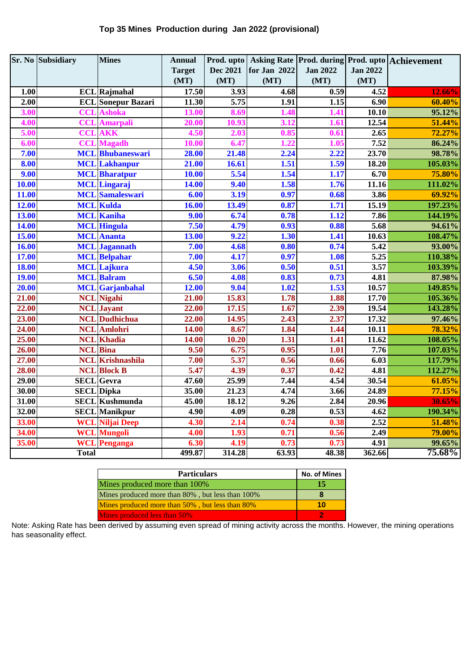## **Top 35 Mines Production during Jan 2022 (provisional)**

|              | <b>Sr. No Subsidiary</b> | <b>Mines</b>              | <b>Annual</b>     |                   |                   |                 |                   | Prod. upto Asking Rate Prod. during Prod. upto Achievement |
|--------------|--------------------------|---------------------------|-------------------|-------------------|-------------------|-----------------|-------------------|------------------------------------------------------------|
|              |                          |                           | <b>Target</b>     | <b>Dec 2021</b>   | for Jan 2022      | <b>Jan 2022</b> | <b>Jan 2022</b>   |                                                            |
|              |                          |                           | (MT)              | (MT)              | (MT)              | (MT)            | (MT)              |                                                            |
| 1.00         |                          | <b>ECL</b> Rajmahal       | 17.50             | 3.93              | 4.68              | 0.59            | 4.52              | 12.66%                                                     |
| 2.00         |                          | <b>ECL</b> Sonepur Bazari | 11.30             | $\overline{5.75}$ | 1.91              | 1.15            | $\overline{6.90}$ | 60.40%                                                     |
| 3.00         | CCL                      | <b>Ashoka</b>             | 13.00             | 8.69              | 1.48              | 1.41            | 10.10             | 95.12%                                                     |
| 4.00         | CCL                      | <b>Amarpali</b>           | 20.00             | 10.93             | 3.12              | 1.61            | 12.54             | 51.44%                                                     |
| 5.00         | <b>CCL</b>               | <b>AKK</b>                | 4.50              | 2.03              | 0.85              | 0.61            | 2.65              | 72.27%                                                     |
| 6.00         | <b>CCL</b>               | <b>Magadh</b>             | 10.00             | 6.47              | 1.22              | 1.05            | 7.52              | 86.24%                                                     |
| 7.00         |                          | <b>MCL</b> Bhubaneswari   | 28.00             | 21.48             | 2.24              | 2.22            | 23.70             | 98.78%                                                     |
| 8.00         |                          | <b>MCL</b> Lakhanpur      | 21.00             | 16.61             | 1.51              | 1.59            | 18.20             | 105.03%                                                    |
| 9.00         |                          | <b>MCL</b> Bharatpur      | 10.00             | 5.54              | 1.54              | 1.17            | 6.70              | 75.80%                                                     |
| <b>10.00</b> |                          | <b>MCL</b> Lingaraj       | 14.00             | 9.40              | 1.58              | 1.76            | 11.16             | 111.02%                                                    |
| 11.00        | MCL                      | <b>Samaleswari</b>        | 6.00              | 3.19              | 0.97              | 0.68            | 3.86              | 69.92%                                                     |
| 12.00        |                          | <b>MCL Kulda</b>          | 16.00             | 13.49             | 0.87              | 1.71            | 15.19             | 197.23%                                                    |
| 13.00        |                          | <b>MCL</b> Kaniha         | 9.00              | 6.74              | 0.78              | 1.12            | 7.86              | 144.19%                                                    |
| 14.00        |                          | <b>MCL</b> Hingula        | 7.50              | 4.79              | 0.93              | 0.88            | 5.68              | 94.61%                                                     |
| <b>15.00</b> |                          | <b>MCL</b> Ananta         | 13.00             | 9.22              | 1.30              | 1.41            | 10.63             | 108.47%                                                    |
| <b>16.00</b> |                          | <b>MCL</b> Jagannath      | 7.00              | 4.68              | 0.80              | 0.74            | 5.42              | 93.00%                                                     |
| 17.00        |                          | <b>MCL</b> Belpahar       | 7.00              | 4.17              | $\overline{0.97}$ | 1.08            | 5.25              | 110.38%                                                    |
| <b>18.00</b> |                          | <b>MCL</b> Lajkura        | 4.50              | 3.06              | 0.50              | 0.51            | 3.57              | 103.39%                                                    |
| <b>19.00</b> |                          | <b>MCL</b> Balram         | 6.50              | 4.08              | 0.83              | 0.73            | 4.81              | 87.98%                                                     |
| 20.00        |                          | <b>MCL</b> Garjanbahal    | 12.00             | 9.04              | 1.02              | 1.53            | 10.57             | 149.85%                                                    |
| 21.00        |                          | <b>NCL</b> Nigahi         | 21.00             | 15.83             | 1.78              | 1.88            | 17.70             | 105.36%                                                    |
| 22.00        |                          | <b>NCL</b> Jayant         | 22.00             | 17.15             | 1.67              | 2.39            | 19.54             | 143.28%                                                    |
| 23.00        |                          | <b>NCL</b> Dudhichua      | 22.00             | 14.95             | 2.43              | 2.37            | 17.32             | 97.46%                                                     |
| 24.00        |                          | <b>NCL</b> Amlohri        | 14.00             | 8.67              | 1.84              | 1.44            | 10.11             | 78.32%                                                     |
| 25.00        |                          | <b>NCL</b> Khadia         | 14.00             | 10.20             | 1.31              | 1.41            | 11.62             | 108.05%                                                    |
| 26.00        |                          | <b>NCL</b> Bina           | 9.50              | 6.75              | 0.95              | 1.01            | 7.76              | 107.03%                                                    |
| 27.00        |                          | <b>NCL</b> Krishnashila   | 7.00              | 5.37              | 0.56              | 0.66            | 6.03              | 117.79%                                                    |
| 28.00        |                          | <b>NCL</b> Block B        | 5.47              | 4.39              | 0.37              | 0.42            | 4.81              | 112.27%                                                    |
| 29.00        |                          | <b>SECL</b> Gevra         | 47.60             | 25.99             | 7.44              | 4.54            | 30.54             | 61.05%                                                     |
| 30.00        |                          | <b>SECL</b> Dipka         | 35.00             | 21.23             | 4.74              | 3.66            | 24.89             | 77.15%                                                     |
| 31.00        |                          | <b>SECL</b> Kushmunda     | 45.00             | 18.12             | 9.26              | 2.84            | 20.96             | 30.65%                                                     |
| 32.00        |                          | <b>SECL</b> Manikpur      | 4.90              | 4.09              | 0.28              | 0.53            | 4.62              | 190.34%                                                    |
| 33.00        |                          | <b>WCL Niljai Deep</b>    | 4.30              | 2.14              | 0.74              | 0.38            | 2.52              | 51.48%                                                     |
| 34.00        |                          | <b>WCL Mungoli</b>        | $\overline{4.00}$ | 1.93              | 0.71              | 0.56            | 2.49              | 79.00%                                                     |
| 35.00        | <b>WCL</b>               | Penganga                  | 6.30              | 4.19              | 0.73              | 0.73            | 4.91              | 99.65%                                                     |
|              | <b>Total</b>             |                           | 499.87            | 314.28            | 63.93             | 48.38           | 362.66            | 75.68%                                                     |

| <b>Particulars</b>                               | <b>No. of Mines</b> |
|--------------------------------------------------|---------------------|
| Mines produced more than 100%                    | 15                  |
| Mines produced more than 80%, but less than 100% |                     |
| Mines produced more than 50%, but less than 80%  | 10                  |
| Mines produced less than 50%                     |                     |

Note: Asking Rate has been derived by assuming even spread of mining activity across the months. However, the mining operations has seasonality effect.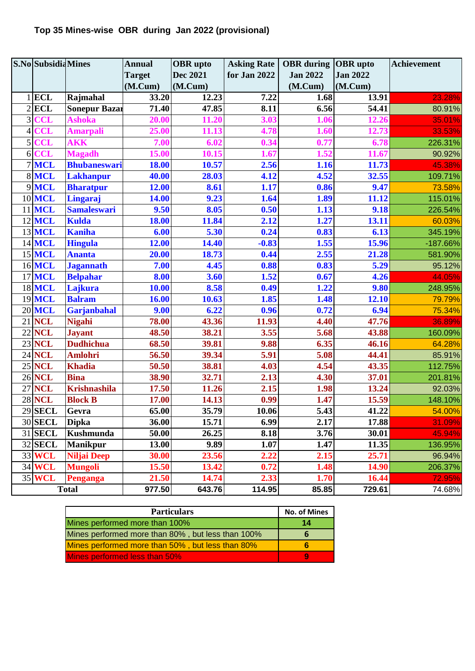# **Top 35 Mines-wise OBR during Jan 2022 (provisional)**

|                | <b>S.No</b> Subsidia Mines |                      | <b>Annual</b> | <b>OBR</b> upto | <b>Asking Rate</b> | <b>OBR</b> during <b>OBR</b> upto |                 | <b>Achievement</b> |
|----------------|----------------------------|----------------------|---------------|-----------------|--------------------|-----------------------------------|-----------------|--------------------|
|                |                            |                      | <b>Target</b> | <b>Dec 2021</b> | for Jan 2022       | <b>Jan 2022</b>                   | <b>Jan 2022</b> |                    |
|                |                            |                      | (M.Cum)       | (M.Cum)         |                    | (M.Cum)                           | (M.Cum)         |                    |
|                | $1$ ECL                    | Rajmahal             | 33.20         | 12.23           | 7.22               | 1.68                              | 13.91           | 23.28%             |
|                | $2$ ECL                    | <b>Sonepur Bazar</b> | 71.40         | 47.85           | 8.11               | 6.56                              | 54.41           | 80.91%             |
| 3              | <b>CCL</b>                 | <b>Ashoka</b>        | 20.00         | 11.20           | 3.03               | 1.06                              | 12.26           | 35.01%             |
| 4              | <b>CCL</b>                 | <b>Amarpali</b>      | 25.00         | 11.13           | 4.78               | 1.60                              | 12.73           | 33.53%             |
| 5              | <b>CCL</b>                 | <b>AKK</b>           | 7.00          | 6.02            | 0.34               | 0.77                              | 6.78            | 226.31%            |
| 6 <sup>1</sup> | <b>CCL</b>                 | <b>Magadh</b>        | 15.00         | 10.15           | 1.67               | 1.52                              | 11.67           | 90.92%             |
|                | 7 MCL                      | <b>Bhubaneswari</b>  | 18.00         | 10.57           | 2.56               | 1.16                              | 11.73           | 45.38%             |
|                | 8 MCL                      | <b>Lakhanpur</b>     | 40.00         | 28.03           | 4.12               | 4.52                              | 32.55           | 109.71%            |
|                | 9 MCL                      | <b>Bharatpur</b>     | 12.00         | 8.61            | 1.17               | 0.86                              | 9.47            | 73.58%             |
|                | 10 MCL                     | Lingaraj             | 14.00         | 9.23            | 1.64               | 1.89                              | 11.12           | 115.01%            |
| 11             | <b>MCL</b>                 | <b>Samaleswari</b>   | 9.50          | 8.05            | 0.50               | 1.13                              | 9.18            | 226.54%            |
|                | <b>12 MCL</b>              | <b>Kulda</b>         | 18.00         | 11.84           | 2.12               | 1.27                              | 13.11           | 60.03%             |
|                | 13 MCL                     | <b>Kaniha</b>        | 6.00          | 5.30            | 0.24               | 0.83                              | 6.13            | 345.19%            |
|                | 14 MCL                     | <b>Hingula</b>       | 12.00         | 14.40           | $-0.83$            | 1.55                              | 15.96           | -187.66%           |
|                | 15 MCL                     | <b>Ananta</b>        | 20.00         | 18.73           | 0.44               | 2.55                              | 21.28           | 581.90%            |
|                | 16 MCL                     | <b>Jagannath</b>     | 7.00          | 4.45            | 0.88               | 0.83                              | 5.29            | 95.12%             |
|                | <b>17 MCL</b>              | <b>Belpahar</b>      | 8.00          | 3.60            | 1.52               | 0.67                              | 4.26            | 44.05%             |
|                | <b>18 MCL</b>              | Lajkura              | 10.00         | 8.58            | 0.49               | 1.22                              | 9.80            | 248.95%            |
|                | 19 MCL                     | <b>Balram</b>        | 16.00         | 10.63           | 1.85               | 1.48                              | 12.10           | 79.79%             |
|                | <b>20 MCL</b>              | Garjanbahal          | 9.00          | 6.22            | 0.96               | 0.72                              | 6.94            | 75.34%             |
| 21             | <b>NCL</b>                 | <b>Nigahi</b>        | 78.00         | 43.36           | 11.93              | 4.40                              | 47.76           | 36.89%             |
|                | <b>22 NCL</b>              | <b>Jayant</b>        | 48.50         | 38.21           | 3.55               | $\frac{1}{5.68}$                  | 43.88           | 160.09%            |
|                | <b>23 NCL</b>              | <b>Dudhichua</b>     | 68.50         | 39.81           | 9.88               | 6.35                              | 46.16           | 64.28%             |
|                | <b>24 NCL</b>              | <b>Amlohri</b>       | 56.50         | 39.34           | 5.91               | 5.08                              | 44.41           | 85.91%             |
|                | <b>25 NCL</b>              | <b>Khadia</b>        | 50.50         | 38.81           | 4.03               | 4.54                              | 43.35           | 112.75%            |
|                | <b>26 NCL</b>              | <b>Bina</b>          | 38.90         | 32.71           | 2.13               | 4.30                              | 37.01           | 201.81%            |
| 27             | <b>NCL</b>                 | <b>Krishnashila</b>  | 17.50         | 11.26           | 2.15               | 1.98                              | 13.24           | 92.03%             |
|                | <b>28 NCL</b>              | <b>Block B</b>       | 17.00         | 14.13           | 0.99               | 1.47                              | 15.59           | 148.10%            |
|                | <b>29 SECL</b>             | Gevra                | 65.00         | 35.79           | 10.06              | 5.43                              | 41.22           | 54.00%             |
|                | <b>30 SECL</b>             | <b>Dipka</b>         | 36.00         | 15.71           | 6.99               | 2.17                              | 17.88           | 31.09%             |
|                | 31 SECL                    | Kushmunda            | 50.00         | 26.25           | 8.18               | 3.76                              | 30.01           | 45.94%             |
|                | <b>32 SECL</b>             | <b>Manikpur</b>      | 13.00         | 9.89            | 1.07               | 1.47                              | 11.35           | 136.95%            |
|                | 33 WCL                     | <b>Niljai Deep</b>   | 30.00         | 23.56           | 2.22               | 2.15                              | 25.71           | 96.94%             |
|                | 34 WCL                     | <b>Mungoli</b>       | 15.50         | 13.42           | 0.72               | 1.48                              | 14.90           | 206.37%            |
|                | <b>35 WCL</b>              | Penganga             | 21.50         | 14.74           | 2.33               | 1.70                              | 16.44           | 72.95%             |
|                |                            | <b>Total</b>         | 977.50        | 643.76          | 114.95             | 85.85                             | 729.61          | 74.68%             |

| <b>Particulars</b>                                | <b>No. of Mines</b> |
|---------------------------------------------------|---------------------|
| Mines performed more than 100%                    | 14                  |
| Mines performed more than 80%, but less than 100% |                     |
| Mines performed more than 50%, but less than 80%  |                     |
| Mines performed less than 50%                     |                     |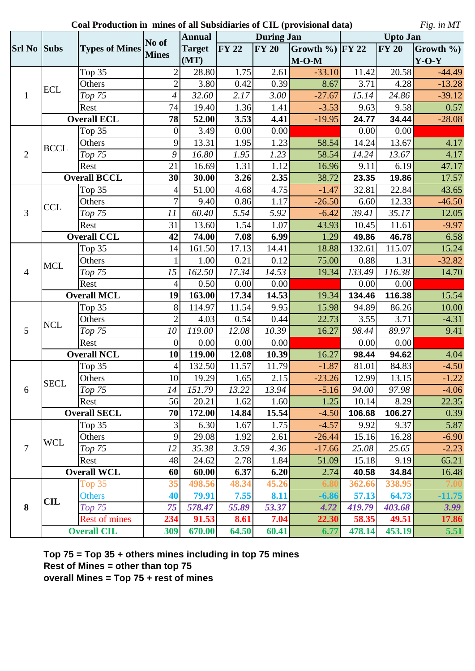**Coal Production in mines of all Subsidiaries of CIL (provisional data)**

*Fig. in MT*

|                    |                    |                       |                                                                                                                                                                                                                                                                                                                                                                                                                                                                                                                                                                                                                                                                                                                                                                                                                                                                                                                                                                                                                                                                                                                                                                                                                                                                                                                                                                                                                                                                                                                                                                                                                                                                                                                                                                                                                                                                                                                                                                                                                                                                                                                                                                                                                                                                                                                                                                               | <b>Annual</b> | <b>During Jan</b> |              |          | <b>Upto Jan</b> |       |               |  |
|--------------------|--------------------|-----------------------|-------------------------------------------------------------------------------------------------------------------------------------------------------------------------------------------------------------------------------------------------------------------------------------------------------------------------------------------------------------------------------------------------------------------------------------------------------------------------------------------------------------------------------------------------------------------------------------------------------------------------------------------------------------------------------------------------------------------------------------------------------------------------------------------------------------------------------------------------------------------------------------------------------------------------------------------------------------------------------------------------------------------------------------------------------------------------------------------------------------------------------------------------------------------------------------------------------------------------------------------------------------------------------------------------------------------------------------------------------------------------------------------------------------------------------------------------------------------------------------------------------------------------------------------------------------------------------------------------------------------------------------------------------------------------------------------------------------------------------------------------------------------------------------------------------------------------------------------------------------------------------------------------------------------------------------------------------------------------------------------------------------------------------------------------------------------------------------------------------------------------------------------------------------------------------------------------------------------------------------------------------------------------------------------------------------------------------------------------------------------------------|---------------|-------------------|--------------|----------|-----------------|-------|---------------|--|
| <b>Srl No Subs</b> |                    | <b>Types of Mines</b> |                                                                                                                                                                                                                                                                                                                                                                                                                                                                                                                                                                                                                                                                                                                                                                                                                                                                                                                                                                                                                                                                                                                                                                                                                                                                                                                                                                                                                                                                                                                                                                                                                                                                                                                                                                                                                                                                                                                                                                                                                                                                                                                                                                                                                                                                                                                                                                               | <b>Target</b> |                   | <b>FY 20</b> |          |                 |       | Growth $\%$ ) |  |
|                    |                    |                       |                                                                                                                                                                                                                                                                                                                                                                                                                                                                                                                                                                                                                                                                                                                                                                                                                                                                                                                                                                                                                                                                                                                                                                                                                                                                                                                                                                                                                                                                                                                                                                                                                                                                                                                                                                                                                                                                                                                                                                                                                                                                                                                                                                                                                                                                                                                                                                               | (MT)          |                   |              | $M-O-M$  |                 |       | $Y-O-Y$       |  |
|                    |                    | Top 35                | $\overline{2}$                                                                                                                                                                                                                                                                                                                                                                                                                                                                                                                                                                                                                                                                                                                                                                                                                                                                                                                                                                                                                                                                                                                                                                                                                                                                                                                                                                                                                                                                                                                                                                                                                                                                                                                                                                                                                                                                                                                                                                                                                                                                                                                                                                                                                                                                                                                                                                |               | 1.75              | 2.61         | $-33.10$ | 11.42           |       | $-44.49$      |  |
| 1                  | <b>ECL</b>         | Others                | $\overline{2}$                                                                                                                                                                                                                                                                                                                                                                                                                                                                                                                                                                                                                                                                                                                                                                                                                                                                                                                                                                                                                                                                                                                                                                                                                                                                                                                                                                                                                                                                                                                                                                                                                                                                                                                                                                                                                                                                                                                                                                                                                                                                                                                                                                                                                                                                                                                                                                | 3.80          | 0.42              |              | 8.67     | 3.71            |       | $-13.28$      |  |
|                    |                    | Top 75                | 4                                                                                                                                                                                                                                                                                                                                                                                                                                                                                                                                                                                                                                                                                                                                                                                                                                                                                                                                                                                                                                                                                                                                                                                                                                                                                                                                                                                                                                                                                                                                                                                                                                                                                                                                                                                                                                                                                                                                                                                                                                                                                                                                                                                                                                                                                                                                                                             | 32.60         | 2.17              | 3.00         | $-27.67$ | 15.14           | 24.86 | $-39.12$      |  |
|                    |                    | Rest                  | 74                                                                                                                                                                                                                                                                                                                                                                                                                                                                                                                                                                                                                                                                                                                                                                                                                                                                                                                                                                                                                                                                                                                                                                                                                                                                                                                                                                                                                                                                                                                                                                                                                                                                                                                                                                                                                                                                                                                                                                                                                                                                                                                                                                                                                                                                                                                                                                            | 19.40         | 1.36              | 1.41         | $-3.53$  | 9.63            |       | 0.57          |  |
|                    |                    | <b>Overall ECL</b>    | No of<br><b>FY 22</b><br>Growth $\%$ ) FY 22<br><b>FY 20</b><br><b>Mines</b><br>28.80<br>20.58<br>0.39<br>4.28<br>9.58<br>78<br>52.00<br>3.53<br>4.41<br>$-19.95$<br>24.77<br>34.44<br>3.49<br>0.00<br>0.00<br>0.00<br>$\boldsymbol{0}$<br>0.00<br>9<br>13.31<br>1.95<br>1.23<br>13.67<br>58.54<br>14.24<br>9<br>16.80<br>1.95<br>1.23<br>58.54<br>14.24<br>13.67<br>21<br>16.69<br>1.31<br>1.12<br>9.11<br>6.19<br>16.96<br>30<br>30.00<br>3.26<br>2.35<br>38.72<br>23.35<br>19.86<br>51.00<br>4.68<br>4.75<br>32.81<br>22.84<br>$-1.47$<br>4<br>$\overline{7}$<br>9.40<br>0.86<br>1.17<br>6.60<br>12.33<br>$-26.50$<br>5.54<br>60.40<br>5.92<br>$-6.42$<br>39.41<br>35.17<br>11<br>31<br>1.54<br>13.60<br>1.07<br>43.93<br>11.61<br>10.45<br>42<br>74.00<br>7.08<br>6.99<br>1.29<br>49.86<br>46.78<br>115.07<br>161.50<br>17.13<br>14.41<br>18.88<br>132.61<br>14<br>0.12<br>1.00<br>0.21<br>75.00<br>0.88<br>1.31<br>14.53<br>116.38<br>15<br>162.50<br>17.34<br>19.34<br>133.49<br>0.50<br>0.00<br>0.00<br>0.00<br>$\overline{4}$<br>0.00<br>163.00<br>17.34<br>14.53<br>116.38<br>19<br>134.46<br>19.34<br>8<br>114.97<br>11.54<br>9.95<br>15.98<br>86.26<br>94.89<br>$\overline{2}$<br>4.03<br>0.54<br>0.44<br>22.73<br>3.55<br>3.71<br>10<br>119.00<br>12.08<br>10.39<br>16.27<br>89.97<br>98.44<br>$\boldsymbol{0}$<br>0.00<br>0.00<br>0.00<br>0.00<br>0.00<br>16.27<br>10<br>119.00<br>12.08<br>10.39<br>98.44<br>94.62<br>$\overline{4}$<br>132.50<br>11.57<br>$-1.87$<br>11.79<br>81.01<br>84.83<br>10<br>19.29<br>1.65<br>$-23.26$<br>13.15<br>2.15<br>12.99<br>151.79<br>13.94<br>14<br>13.22<br>94.00<br>97.98<br>$-5.16$<br>1.25<br>56<br>20.21<br>1.62<br>1.60<br>8.29<br>10.14<br>15.54<br>70<br>172.00<br>14.84<br>106.68<br>106.27<br>$-4.50$<br>3<br>6.30<br>1.67<br>1.75<br>$-4.57$<br>9.37<br>9.92<br>9<br>29.08<br>1.92<br>2.61<br>15.16<br>16.28<br>$-26.44$<br>12<br>35.38<br>4.36<br>$-17.66$<br>25.08<br>25.65<br>3.59<br>48<br>24.62<br>2.78<br>1.84<br>51.09<br>15.18<br>9.19<br>60<br>60.00<br>6.37<br>2.74<br>34.84<br>6.20<br>40.58<br>498.56<br>48.34<br>45.26<br>338.95<br>35<br>362.66<br>40<br>7.55<br>8.11<br>$-6.86$<br>57.13<br>64.73<br>79.91<br>75<br>53.37<br>578.47<br>55.89<br>4.72<br>419.79<br>403.68<br>234<br>91.53<br>7.04<br>22.30<br>58.35<br>49.51<br>8.61<br>453.19<br>670.00<br>64.50<br>60.41<br>478.14<br>309<br>6.77 | $-28.08$      |                   |              |          |                 |       |               |  |
| $\overline{2}$     |                    | Top $35$              |                                                                                                                                                                                                                                                                                                                                                                                                                                                                                                                                                                                                                                                                                                                                                                                                                                                                                                                                                                                                                                                                                                                                                                                                                                                                                                                                                                                                                                                                                                                                                                                                                                                                                                                                                                                                                                                                                                                                                                                                                                                                                                                                                                                                                                                                                                                                                                               |               |                   |              |          |                 |       |               |  |
|                    | <b>BCCL</b>        | Others                |                                                                                                                                                                                                                                                                                                                                                                                                                                                                                                                                                                                                                                                                                                                                                                                                                                                                                                                                                                                                                                                                                                                                                                                                                                                                                                                                                                                                                                                                                                                                                                                                                                                                                                                                                                                                                                                                                                                                                                                                                                                                                                                                                                                                                                                                                                                                                                               |               |                   |              |          |                 |       | 4.17          |  |
|                    |                    | Top 75                |                                                                                                                                                                                                                                                                                                                                                                                                                                                                                                                                                                                                                                                                                                                                                                                                                                                                                                                                                                                                                                                                                                                                                                                                                                                                                                                                                                                                                                                                                                                                                                                                                                                                                                                                                                                                                                                                                                                                                                                                                                                                                                                                                                                                                                                                                                                                                                               |               |                   |              |          |                 |       | 4.17          |  |
|                    |                    | Rest                  |                                                                                                                                                                                                                                                                                                                                                                                                                                                                                                                                                                                                                                                                                                                                                                                                                                                                                                                                                                                                                                                                                                                                                                                                                                                                                                                                                                                                                                                                                                                                                                                                                                                                                                                                                                                                                                                                                                                                                                                                                                                                                                                                                                                                                                                                                                                                                                               |               |                   |              |          |                 |       | 47.17         |  |
|                    |                    | <b>Overall BCCL</b>   |                                                                                                                                                                                                                                                                                                                                                                                                                                                                                                                                                                                                                                                                                                                                                                                                                                                                                                                                                                                                                                                                                                                                                                                                                                                                                                                                                                                                                                                                                                                                                                                                                                                                                                                                                                                                                                                                                                                                                                                                                                                                                                                                                                                                                                                                                                                                                                               |               |                   |              |          |                 |       | 17.57         |  |
|                    |                    | Top 35                |                                                                                                                                                                                                                                                                                                                                                                                                                                                                                                                                                                                                                                                                                                                                                                                                                                                                                                                                                                                                                                                                                                                                                                                                                                                                                                                                                                                                                                                                                                                                                                                                                                                                                                                                                                                                                                                                                                                                                                                                                                                                                                                                                                                                                                                                                                                                                                               |               |                   |              |          |                 |       | 43.65         |  |
|                    | <b>CCL</b>         | Others                |                                                                                                                                                                                                                                                                                                                                                                                                                                                                                                                                                                                                                                                                                                                                                                                                                                                                                                                                                                                                                                                                                                                                                                                                                                                                                                                                                                                                                                                                                                                                                                                                                                                                                                                                                                                                                                                                                                                                                                                                                                                                                                                                                                                                                                                                                                                                                                               |               |                   |              |          |                 |       | $-46.50$      |  |
| 3                  |                    | Top 75                |                                                                                                                                                                                                                                                                                                                                                                                                                                                                                                                                                                                                                                                                                                                                                                                                                                                                                                                                                                                                                                                                                                                                                                                                                                                                                                                                                                                                                                                                                                                                                                                                                                                                                                                                                                                                                                                                                                                                                                                                                                                                                                                                                                                                                                                                                                                                                                               |               |                   |              |          |                 |       | 12.05         |  |
|                    |                    | Rest                  |                                                                                                                                                                                                                                                                                                                                                                                                                                                                                                                                                                                                                                                                                                                                                                                                                                                                                                                                                                                                                                                                                                                                                                                                                                                                                                                                                                                                                                                                                                                                                                                                                                                                                                                                                                                                                                                                                                                                                                                                                                                                                                                                                                                                                                                                                                                                                                               |               |                   |              |          |                 |       | $-9.97$       |  |
|                    |                    | <b>Overall CCL</b>    |                                                                                                                                                                                                                                                                                                                                                                                                                                                                                                                                                                                                                                                                                                                                                                                                                                                                                                                                                                                                                                                                                                                                                                                                                                                                                                                                                                                                                                                                                                                                                                                                                                                                                                                                                                                                                                                                                                                                                                                                                                                                                                                                                                                                                                                                                                                                                                               |               |                   |              |          |                 |       | 6.58          |  |
|                    |                    | Top $35$              |                                                                                                                                                                                                                                                                                                                                                                                                                                                                                                                                                                                                                                                                                                                                                                                                                                                                                                                                                                                                                                                                                                                                                                                                                                                                                                                                                                                                                                                                                                                                                                                                                                                                                                                                                                                                                                                                                                                                                                                                                                                                                                                                                                                                                                                                                                                                                                               |               |                   |              |          |                 |       | 15.24         |  |
| $\overline{4}$     | <b>MCL</b>         | Others                |                                                                                                                                                                                                                                                                                                                                                                                                                                                                                                                                                                                                                                                                                                                                                                                                                                                                                                                                                                                                                                                                                                                                                                                                                                                                                                                                                                                                                                                                                                                                                                                                                                                                                                                                                                                                                                                                                                                                                                                                                                                                                                                                                                                                                                                                                                                                                                               |               |                   |              |          |                 |       | $-32.82$      |  |
|                    |                    | Top 75                |                                                                                                                                                                                                                                                                                                                                                                                                                                                                                                                                                                                                                                                                                                                                                                                                                                                                                                                                                                                                                                                                                                                                                                                                                                                                                                                                                                                                                                                                                                                                                                                                                                                                                                                                                                                                                                                                                                                                                                                                                                                                                                                                                                                                                                                                                                                                                                               |               |                   |              |          |                 |       | 14.70         |  |
|                    |                    | Rest                  |                                                                                                                                                                                                                                                                                                                                                                                                                                                                                                                                                                                                                                                                                                                                                                                                                                                                                                                                                                                                                                                                                                                                                                                                                                                                                                                                                                                                                                                                                                                                                                                                                                                                                                                                                                                                                                                                                                                                                                                                                                                                                                                                                                                                                                                                                                                                                                               |               |                   |              |          |                 |       |               |  |
|                    | <b>Overall MCL</b> |                       |                                                                                                                                                                                                                                                                                                                                                                                                                                                                                                                                                                                                                                                                                                                                                                                                                                                                                                                                                                                                                                                                                                                                                                                                                                                                                                                                                                                                                                                                                                                                                                                                                                                                                                                                                                                                                                                                                                                                                                                                                                                                                                                                                                                                                                                                                                                                                                               |               |                   |              |          |                 |       | 15.54         |  |
|                    | <b>NCL</b>         | Top 35                |                                                                                                                                                                                                                                                                                                                                                                                                                                                                                                                                                                                                                                                                                                                                                                                                                                                                                                                                                                                                                                                                                                                                                                                                                                                                                                                                                                                                                                                                                                                                                                                                                                                                                                                                                                                                                                                                                                                                                                                                                                                                                                                                                                                                                                                                                                                                                                               |               |                   |              |          |                 |       | 10.00         |  |
|                    |                    | Others                |                                                                                                                                                                                                                                                                                                                                                                                                                                                                                                                                                                                                                                                                                                                                                                                                                                                                                                                                                                                                                                                                                                                                                                                                                                                                                                                                                                                                                                                                                                                                                                                                                                                                                                                                                                                                                                                                                                                                                                                                                                                                                                                                                                                                                                                                                                                                                                               |               |                   |              |          |                 |       | $-4.31$       |  |
| 5                  |                    | Top 75                |                                                                                                                                                                                                                                                                                                                                                                                                                                                                                                                                                                                                                                                                                                                                                                                                                                                                                                                                                                                                                                                                                                                                                                                                                                                                                                                                                                                                                                                                                                                                                                                                                                                                                                                                                                                                                                                                                                                                                                                                                                                                                                                                                                                                                                                                                                                                                                               |               |                   |              |          |                 |       | 9.41          |  |
|                    |                    | Rest                  |                                                                                                                                                                                                                                                                                                                                                                                                                                                                                                                                                                                                                                                                                                                                                                                                                                                                                                                                                                                                                                                                                                                                                                                                                                                                                                                                                                                                                                                                                                                                                                                                                                                                                                                                                                                                                                                                                                                                                                                                                                                                                                                                                                                                                                                                                                                                                                               |               |                   |              |          |                 |       |               |  |
| 6<br>$\tau$        | <b>Overall NCL</b> |                       |                                                                                                                                                                                                                                                                                                                                                                                                                                                                                                                                                                                                                                                                                                                                                                                                                                                                                                                                                                                                                                                                                                                                                                                                                                                                                                                                                                                                                                                                                                                                                                                                                                                                                                                                                                                                                                                                                                                                                                                                                                                                                                                                                                                                                                                                                                                                                                               |               |                   |              |          |                 |       | 4.04          |  |
|                    |                    | Top $35$              |                                                                                                                                                                                                                                                                                                                                                                                                                                                                                                                                                                                                                                                                                                                                                                                                                                                                                                                                                                                                                                                                                                                                                                                                                                                                                                                                                                                                                                                                                                                                                                                                                                                                                                                                                                                                                                                                                                                                                                                                                                                                                                                                                                                                                                                                                                                                                                               |               |                   |              |          |                 |       | $-4.50$       |  |
|                    |                    | Others                |                                                                                                                                                                                                                                                                                                                                                                                                                                                                                                                                                                                                                                                                                                                                                                                                                                                                                                                                                                                                                                                                                                                                                                                                                                                                                                                                                                                                                                                                                                                                                                                                                                                                                                                                                                                                                                                                                                                                                                                                                                                                                                                                                                                                                                                                                                                                                                               |               |                   |              |          |                 |       | $-1.22$       |  |
|                    | <b>SECL</b>        | Top 75                |                                                                                                                                                                                                                                                                                                                                                                                                                                                                                                                                                                                                                                                                                                                                                                                                                                                                                                                                                                                                                                                                                                                                                                                                                                                                                                                                                                                                                                                                                                                                                                                                                                                                                                                                                                                                                                                                                                                                                                                                                                                                                                                                                                                                                                                                                                                                                                               |               |                   |              |          |                 |       | $-4.06$       |  |
|                    |                    | Rest                  |                                                                                                                                                                                                                                                                                                                                                                                                                                                                                                                                                                                                                                                                                                                                                                                                                                                                                                                                                                                                                                                                                                                                                                                                                                                                                                                                                                                                                                                                                                                                                                                                                                                                                                                                                                                                                                                                                                                                                                                                                                                                                                                                                                                                                                                                                                                                                                               |               |                   |              |          |                 |       | 22.35         |  |
|                    |                    | <b>Overall SECL</b>   |                                                                                                                                                                                                                                                                                                                                                                                                                                                                                                                                                                                                                                                                                                                                                                                                                                                                                                                                                                                                                                                                                                                                                                                                                                                                                                                                                                                                                                                                                                                                                                                                                                                                                                                                                                                                                                                                                                                                                                                                                                                                                                                                                                                                                                                                                                                                                                               |               |                   |              |          |                 |       | 0.39          |  |
|                    |                    | Top $35$              |                                                                                                                                                                                                                                                                                                                                                                                                                                                                                                                                                                                                                                                                                                                                                                                                                                                                                                                                                                                                                                                                                                                                                                                                                                                                                                                                                                                                                                                                                                                                                                                                                                                                                                                                                                                                                                                                                                                                                                                                                                                                                                                                                                                                                                                                                                                                                                               |               |                   |              |          |                 |       | 5.87          |  |
|                    | <b>WCL</b>         | Others                |                                                                                                                                                                                                                                                                                                                                                                                                                                                                                                                                                                                                                                                                                                                                                                                                                                                                                                                                                                                                                                                                                                                                                                                                                                                                                                                                                                                                                                                                                                                                                                                                                                                                                                                                                                                                                                                                                                                                                                                                                                                                                                                                                                                                                                                                                                                                                                               |               |                   |              |          |                 |       | $-6.90$       |  |
|                    |                    | Top <sub>75</sub>     |                                                                                                                                                                                                                                                                                                                                                                                                                                                                                                                                                                                                                                                                                                                                                                                                                                                                                                                                                                                                                                                                                                                                                                                                                                                                                                                                                                                                                                                                                                                                                                                                                                                                                                                                                                                                                                                                                                                                                                                                                                                                                                                                                                                                                                                                                                                                                                               |               |                   |              |          |                 |       | $-2.23$       |  |
|                    |                    | Rest                  |                                                                                                                                                                                                                                                                                                                                                                                                                                                                                                                                                                                                                                                                                                                                                                                                                                                                                                                                                                                                                                                                                                                                                                                                                                                                                                                                                                                                                                                                                                                                                                                                                                                                                                                                                                                                                                                                                                                                                                                                                                                                                                                                                                                                                                                                                                                                                                               |               |                   |              |          |                 |       | 65.21         |  |
|                    |                    | <b>Overall WCL</b>    |                                                                                                                                                                                                                                                                                                                                                                                                                                                                                                                                                                                                                                                                                                                                                                                                                                                                                                                                                                                                                                                                                                                                                                                                                                                                                                                                                                                                                                                                                                                                                                                                                                                                                                                                                                                                                                                                                                                                                                                                                                                                                                                                                                                                                                                                                                                                                                               |               |                   |              |          |                 |       | 16.48         |  |
|                    |                    | Top $35$              |                                                                                                                                                                                                                                                                                                                                                                                                                                                                                                                                                                                                                                                                                                                                                                                                                                                                                                                                                                                                                                                                                                                                                                                                                                                                                                                                                                                                                                                                                                                                                                                                                                                                                                                                                                                                                                                                                                                                                                                                                                                                                                                                                                                                                                                                                                                                                                               |               |                   |              |          |                 |       |               |  |
|                    | <b>CIL</b>         | <b>Others</b>         |                                                                                                                                                                                                                                                                                                                                                                                                                                                                                                                                                                                                                                                                                                                                                                                                                                                                                                                                                                                                                                                                                                                                                                                                                                                                                                                                                                                                                                                                                                                                                                                                                                                                                                                                                                                                                                                                                                                                                                                                                                                                                                                                                                                                                                                                                                                                                                               |               |                   |              |          |                 |       | $-11.75$      |  |
| 8                  |                    | $Top$ 75              |                                                                                                                                                                                                                                                                                                                                                                                                                                                                                                                                                                                                                                                                                                                                                                                                                                                                                                                                                                                                                                                                                                                                                                                                                                                                                                                                                                                                                                                                                                                                                                                                                                                                                                                                                                                                                                                                                                                                                                                                                                                                                                                                                                                                                                                                                                                                                                               |               |                   |              |          |                 |       | 3.99          |  |
|                    |                    | <b>Rest of mines</b>  |                                                                                                                                                                                                                                                                                                                                                                                                                                                                                                                                                                                                                                                                                                                                                                                                                                                                                                                                                                                                                                                                                                                                                                                                                                                                                                                                                                                                                                                                                                                                                                                                                                                                                                                                                                                                                                                                                                                                                                                                                                                                                                                                                                                                                                                                                                                                                                               |               |                   |              |          |                 |       | 17.86         |  |
|                    |                    | <b>Overall CIL</b>    |                                                                                                                                                                                                                                                                                                                                                                                                                                                                                                                                                                                                                                                                                                                                                                                                                                                                                                                                                                                                                                                                                                                                                                                                                                                                                                                                                                                                                                                                                                                                                                                                                                                                                                                                                                                                                                                                                                                                                                                                                                                                                                                                                                                                                                                                                                                                                                               |               |                   |              |          |                 |       | 5.51          |  |

**Top 75 = Top 35 + others mines including in top 75 mines Rest of Mines = other than top 75 overall Mines = Top 75 + rest of mines**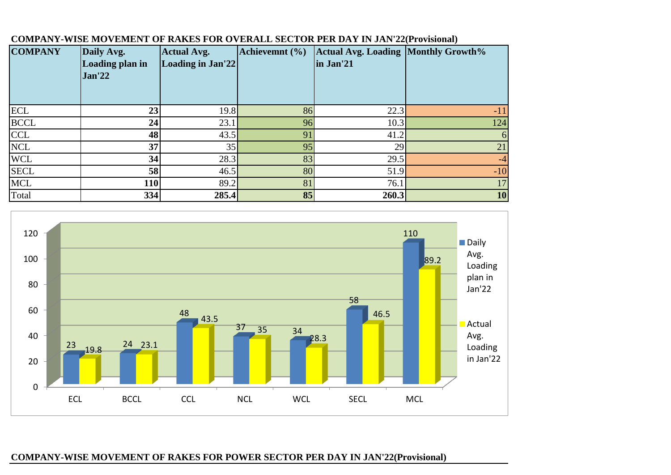| <b>COMPANY</b> | Daily Avg.<br>Loading plan in<br><b>Jan'22</b> | <b>Actual Avg.</b><br>Loading in Jan'22 | Achievemnt (%) | <b>Actual Avg. Loading Monthly Growth%</b><br>in Jan'21 |           |
|----------------|------------------------------------------------|-----------------------------------------|----------------|---------------------------------------------------------|-----------|
| <b>ECL</b>     | 23                                             | 19.8                                    | 86             | 22.3                                                    | $-11$     |
| <b>BCCL</b>    | 24                                             | 23.1                                    | 96             | 10.3                                                    | 124       |
| <b>CCL</b>     | 48                                             | 43.5                                    | 91             | 41.2                                                    | 6         |
| <b>NCL</b>     | 37                                             | 35                                      | 95             | 29                                                      | 21        |
| <b>WCL</b>     | 34                                             | 28.3                                    | 83             | 29.5                                                    | $-4$      |
| <b>SECL</b>    | 58                                             | 46.5                                    | 80             | 51.9                                                    | $-10$     |
| <b>MCL</b>     | 110                                            | 89.2                                    | 81             | 76.1                                                    | 17        |
| Total          | 334                                            | 285.4                                   | 85             | 260.3                                                   | <b>10</b> |

## **COMPANY-WISE MOVEMENT OF RAKES FOR OVERALL SECTOR PER DAY IN JAN'22(Provisional)**



## **COMPANY-WISE MOVEMENT OF RAKES FOR POWER SECTOR PER DAY IN JAN'22(Provisional)**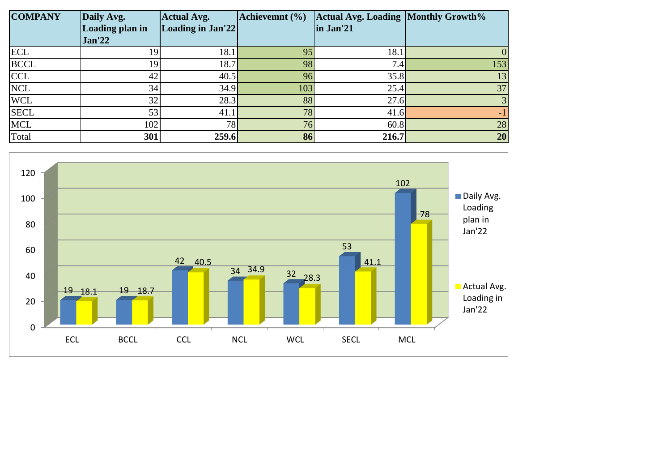| <b>COMPANY</b> | Daily Avg.      | <b>Actual Avg.</b> | Achievemnt (%) | <b>Actual Avg. Loading Monthly Growth%</b> |     |
|----------------|-----------------|--------------------|----------------|--------------------------------------------|-----|
|                | Loading plan in | Loading in Jan'22  |                | in Jan'21                                  |     |
|                | Jan'22          |                    |                |                                            |     |
| <b>ECL</b>     | 19              | 18.1               | 95             | 18.1                                       |     |
| <b>BCCL</b>    | 19              | 18.7               | 98             | 7.4                                        | 153 |
| <b>CCL</b>     | 42              | 40.5               | 96             | 35.8                                       | 13  |
| <b>NCL</b>     | 34              | 34.9               | 103            | 25.4                                       | 37  |
| <b>WCL</b>     | 32              | 28.3               | 88             | 27.6                                       | 3   |
| <b>SECL</b>    | 53              | 41.1               | 78             | 41.6                                       |     |
| <b>MCL</b>     | 102             | 78                 | 76             | 60.8                                       | 28  |
| Total          | 301             | 259.6              | 86             | 216.7                                      | 20  |

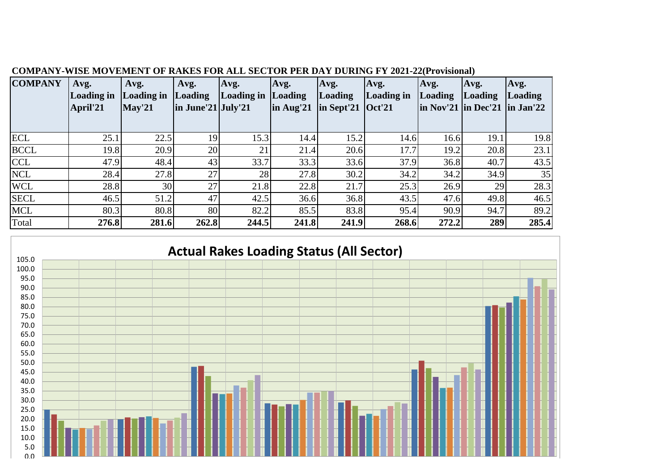| <b>COMPANY</b> | Avg.<br>Loading in | Avg.<br>Loading in     | Avg.<br>Loading       | Avg.<br>Loading in | Avg.<br><i>Loading</i> | Avg.<br><b>Loading</b>                       | Avg.<br>Loading in | Avg.<br><b>Loading</b>                 | Avg.<br>Loading | Avg.<br>Loading |
|----------------|--------------------|------------------------|-----------------------|--------------------|------------------------|----------------------------------------------|--------------------|----------------------------------------|-----------------|-----------------|
|                | April'21           | $\sqrt{\text{May'21}}$ | $\ln$ June'21 July'21 |                    | $\ln$ Aug'21           | $\ln$ Sept'21 $\left  \text{Oct}'21 \right $ |                    | $\ln$ Nov'21 $\ln$ Dec'21 $\ln$ Jan'22 |                 |                 |
|                |                    |                        |                       |                    |                        |                                              |                    |                                        |                 |                 |
| <b>ECL</b>     | 25.1               | 22.5                   | 19                    | 15.3               | 14.4                   | 15.2                                         | 14.6               | 16.6                                   | 19.1            | 19.8            |
| <b>BCCL</b>    | 19.8               | 20.9                   | 20                    | 21                 | 21.4                   | 20.6                                         | 17.7               | 19.2                                   | 20.8            | 23.1            |
| <b>CCL</b>     | 47.9               | 48.4                   | 43                    | 33.7               | 33.3                   | 33.6                                         | 37.9               | 36.8                                   | 40.7            | 43.5            |
| <b>NCL</b>     | 28.4               | 27.8                   | 27                    | 28                 | 27.8                   | 30.2                                         | 34.2               | 34.2                                   | 34.9            | 35              |
| <b>WCL</b>     | 28.8               | 30                     | 27                    | 21.8               | 22.8                   | 21.7                                         | 25.3               | 26.9                                   | 29              | 28.3            |
| <b>SECL</b>    | 46.5               | 51.2                   | 47                    | 42.5               | 36.6                   | 36.8                                         | 43.5               | 47.6                                   | 49.8            | 46.5            |
| <b>MCL</b>     | 80.3               | 80.8                   | 80                    | 82.2               | 85.5                   | 83.8                                         | 95.4               | 90.9                                   | 94.7            | 89.2            |
| Total          | 276.8              | 281.6                  | 262.8                 | 244.5              | 241.8                  | 241.9                                        | 268.6              | 272.2                                  | 289             | 285.4           |

## **COMPANY-WISE MOVEMENT OF RAKES FOR ALL SECTOR PER DAY DURING FY 2021-22(Provisional)**



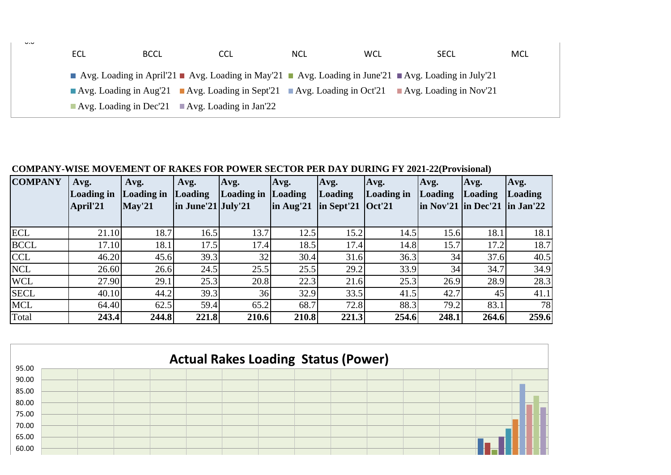| $\mathsf{v} \cdot \mathsf{v}$ | <b>ECL</b> | <b>BCCL</b>                                                  | <b>CCL</b>                                                                                      | <b>NCL</b> | <b>WCL</b> | <b>SECL</b> | MCL |
|-------------------------------|------------|--------------------------------------------------------------|-------------------------------------------------------------------------------------------------|------------|------------|-------------|-----|
|                               |            |                                                              | Avg. Loading in April'21 Avg. Loading in May'21 Avg. Loading in June'21 Avg. Loading in July'21 |            |            |             |     |
|                               |            |                                                              | Avg. Loading in Aug'21 Avg. Loading in Sept'21 Avg. Loading in Oct'21 Avg. Loading in Nov'21    |            |            |             |     |
|                               |            | Avg. Loading in Dec'21 $\blacksquare$ Avg. Loading in Jan'22 |                                                                                                 |            |            |             |     |

## **COMPANY-WISE MOVEMENT OF RAKES FOR POWER SECTOR PER DAY DURING FY 2021-22(Provisional)**

| <b>COMPANY</b> | Avg.<br>Loading in<br>April'21 | Avg.<br>Loading in<br>May'21 | Avg.<br><b>Loading</b><br>$\ln$ June'21 July'21 | Avg.<br>Loading in | Avg.<br>Loading<br>$\ln$ Aug'21 | Avg.<br><b>Loading</b><br>$\ln$ Sept'21 $\left  \text{Oct}'21 \right $ | Avg.<br>Loading in | Avg.<br>Loading<br>$\ln \text{Nov'}21$ $\ln \text{Dec'}21$ $\ln \text{Jan'}22$ | Avg.<br>Loading | Avg.<br><i>Loading</i> |
|----------------|--------------------------------|------------------------------|-------------------------------------------------|--------------------|---------------------------------|------------------------------------------------------------------------|--------------------|--------------------------------------------------------------------------------|-----------------|------------------------|
| <b>ECL</b>     | 21.10                          | 18.7                         | 16.5                                            | 13.7               | 12.5                            | 15.2                                                                   | 14.5               | 15.6                                                                           | 18.1            | 18.1                   |
| <b>BCCL</b>    | 17.10                          | 18.1                         | 17.5                                            | 17.4               | 18.5                            | 17.4                                                                   | 14.8               | 15.7                                                                           | 17.2            | 18.7                   |
| <b>CCL</b>     | 46.20                          | 45.6                         | 39.3                                            | 32                 | 30.4                            | 31.6                                                                   | 36.3               | 34                                                                             | 37.6            | 40.5                   |
| <b>NCL</b>     | 26.60                          | 26.6                         | 24.5                                            | 25.5               | 25.5                            | 29.2                                                                   | 33.9               | 34                                                                             | 34.7            | 34.9                   |
| <b>WCL</b>     | 27.90                          | 29.1                         | 25.3                                            | 20.8               | 22.3                            | 21.6                                                                   | 25.3               | 26.9                                                                           | 28.9            | 28.3                   |
| <b>SECL</b>    | 40.10                          | 44.2                         | 39.3                                            | 36                 | 32.9                            | 33.5                                                                   | 41.5               | 42.7                                                                           | 45              | 41.1                   |
| <b>MCL</b>     | 64.40                          | 62.5                         | 59.4                                            | 65.2               | 68.7                            | 72.8                                                                   | 88.3               | 79.2                                                                           | 83.1            | 78                     |
| Total          | 243.4                          | 244.8                        | 221.8                                           | 210.6              | 210.8                           | 221.3                                                                  | 254.6              | 248.1                                                                          | 264.6           | 259.6                  |